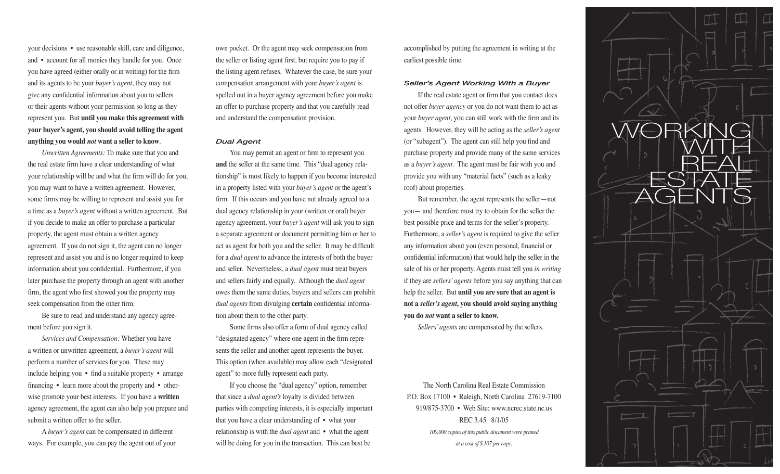your decisions • use reasonable skill, care and diligence, and • account for all monies they handle for you. Once you have agreed (either orally or in writing) for the firm and its agents to be your *buyer's agent*, they may not give any confidential information about you to sellers or their agents without your permission so long as they represent you. But **until you make this agreement with your buyer's agent, you should avoid telling the agent anything you would** *not* **want a seller to know**.

*Unwritten Agreements:* To make sure that you and the real estate firm have a clear understanding of what your relationship will be and what the firm will do for you, you may want to have a written agreement. However, some firms may be willing to represent and assist you for a time as a *buyer's agent* without a written agreement. But if you decide to make an offer to purchase a particular property, the agent must obtain a written agency agreement. If you do not sign it, the agent can no longer represent and assist you and is no longer required to keep information about you confidential. Furthermore, if you later purchase the property through an agent with another firm, the agent who first showed you the property may seek compensation from the other firm.

Be sure to read and understand any agency agreement before you sign it.

*Services and Compensation:* Whether you have a written or unwritten agreement, a *buyer's agent* will perform a number of services for you. These may include helping you • find a suitable property • arrange financing • learn more about the property and • otherwise promote your best interests. If you have a **written** agency agreement, the agent can also help you prepare and submit a written offer to the seller.

A *buyer's agent* can be compensated in different ways. For example, you can pay the agent out of your own pocket. Or the agent may seek compensation from the seller or listing agent first, but require you to pay if the listing agent refuses. Whatever the case, be sure your compensation arrangement with your *buyer's agent* is spelled out in a buyer agency agreement before you make an offer to purchase property and that you carefully read and understand the compensation provision.

#### *Dual Agent*

You may permit an agent or firm to represent you **and** the seller at the same time. This "dual agency relationship" is most likely to happen if you become interested in a property listed with your *buyer's agent* or the agent's firm. If this occurs and you have not already agreed to a dual agency relationship in your (written or oral) buyer agency agreement, your *buyer's agent* will ask you to sign a separate agreement or document permitting him or her to act as agent for both you and the seller. It may be difficult for a *dual agent* to advance the interests of both the buyer and seller. Nevertheless, a *dual agent* must treat buyers and sellers fairly and equally. Although the *dual agent* owes them the same duties, buyers and sellers can prohibit *dual agents* from divulging **certain** confidential information about them to the other party.

Some firms also offer a form of dual agency called "designated agency" where one agent in the firm represents the seller and another agent represents the buyer. This option (when available) may allow each "designated agent" to more fully represent each party.

If you choose the "dual agency" option, remember that since a *dual agent's* loyalty is divided between parties with competing interests, it is especially important that you have a clear understanding of • what your relationship is with the *dual agent* and • what the agent will be doing for you in the transaction. This can best be

accomplished by putting the agreement in writing at the earliest possible time.

#### *Seller's Agent Working With a Buyer*

If the real estate agent or firm that you contact does not offer *buyer agency* or you do not want them to act as your *buyer agent*, you can still work with the firm and its agents. However, they will be acting as the *seller's agent*  (or "subagent"). The agent can still help you find and purchase property and provide many of the same services as a *buyer's agent*. The agent must be fair with you and provide you with any "material facts" (such as a leaky roof) about properties.

But remember, the agent represents the seller—not you— and therefore must try to obtain for the seller the best possible price and terms for the seller's property. Furthermore, a *seller's agent* is required to give the seller any information about you (even personal, financial or confidential information) that would help the seller in the sale of his or her property. Agents must tell you *in writing* if they are *sellers' agents* before you say anything that can help the seller. But **until you are sure that an agent is not a** *seller's agent***, you should avoid saying anything you do** *not* **want a seller to know.**

*Sellers' agents* are compensated by the sellers.

The North Carolina Real Estate Commission P.O. Box 17100 • Raleigh, North Carolina 27619-7100 919/875-3700 • Web Site: www.ncrec.state.nc.us REC 3.45 8/1/05 *100,000 copies of this public document were printed at a cost of \$.107 per copy.*